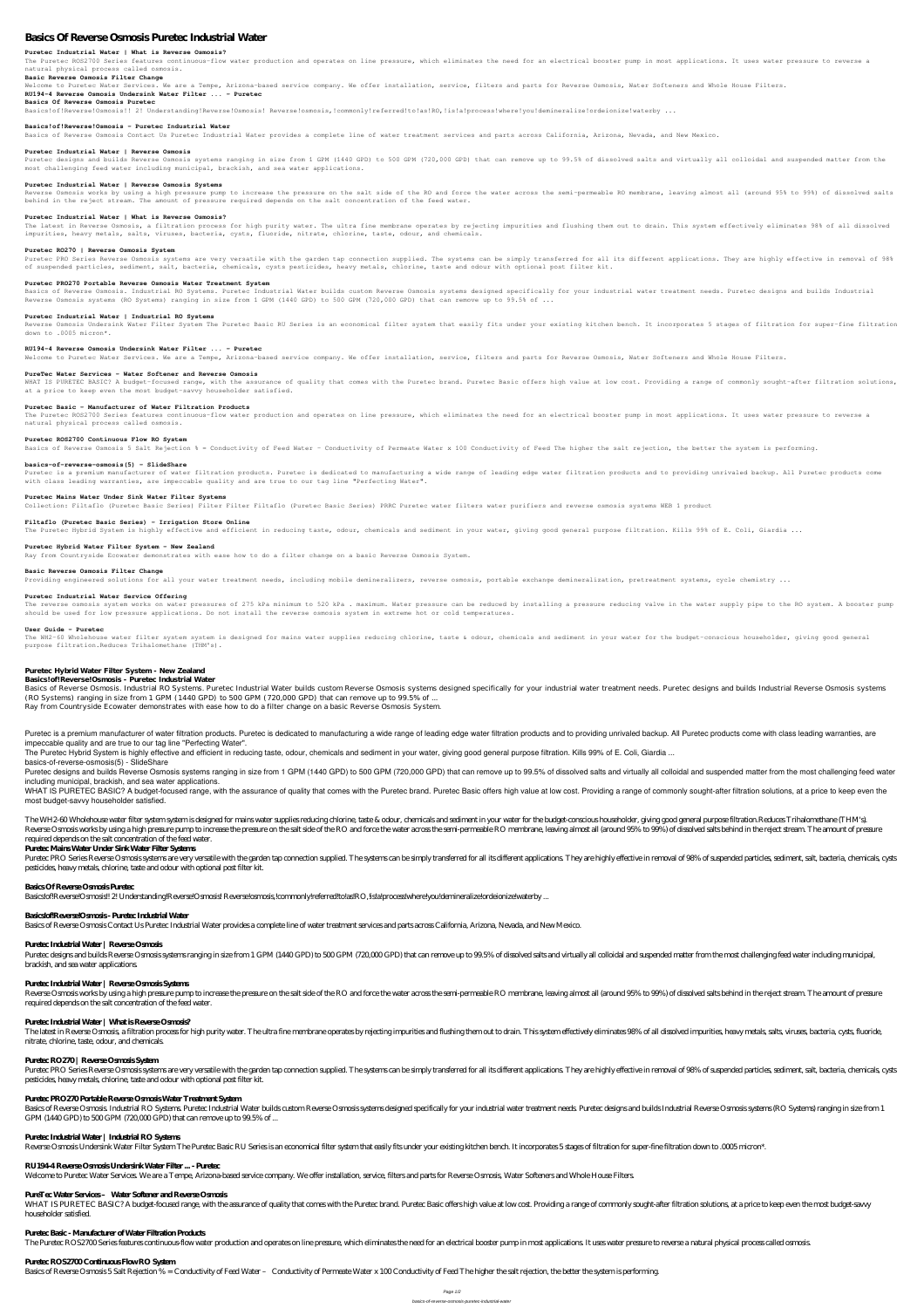# **Basics Of Reverse Osmosis Puretec Industrial Water**

#### **Puretec Industrial Water | What is Reverse Osmosis?**

The Puretec ROS2700 Series features continuous-flow water production and operates on line pressure, which eliminates the need for an electrical booster pump in most applications. It uses water pressure to reverse a natural physical process called osmosis.

#### **Basic Reverse Osmosis Filter Change**

Welcome to Puretec Water Services. We are a Tempe, Arizona-based service company. We offer installation, service, filters and parts for Reverse Osmosis, Water Softeners and Whole House Filters.

#### **RU194-4 Reverse Osmosis Undersink Water Filter ... - Puretec**

#### **Basics Of Reverse Osmosis Puretec**

Basics!of!Reverse!Osmosis!! 2! Understanding!Reverse!Osmosis! Reverse!osmosis,!commonly!referred!to!as!RO,!is!a!process!where!you!demineralize!ordeionize!waterby ...

#### **Basics!of!Reverse!Osmosis - Puretec Industrial Water**

Basics of Reverse Osmosis Contact Us Puretec Industrial Water provides a complete line of water treatment services and parts across California, Arizona, Nevada, and New Mexico.

#### **Puretec Industrial Water | Reverse Osmosis**

Puretec designs and builds Reverse Osmosis systems ranging in size from 1 GPM (1440 GPD) to 500 GPM (720,000 GPD) that can remove up to 99.5% of dissolved salts and virtually all colloidal and suspended matter from the most challenging feed water including municipal, brackish, and sea water applications.

Puretec PRO Series Reverse Osmosis systems are very versatile with the garden tap connection supplied. The systems can be simply transferred for all its different applications. They are highly effective in removal of 98% of suspended particles, sediment, salt, bacteria, chemicals, cysts pesticides, heavy metals, chlorine, taste and odour with optional post filter kit.

Basics of Reverse Osmosis. Industrial RO Systems. Puretec Industrial Water builds custom Reverse Osmosis systems designed specifically for your industrial water treatment needs. Puretec designs and builds Industrial Reverse Osmosis systems (RO Systems) ranging in size from 1 GPM (1440 GPD) to 500 GPM (720,000 GPD) that can remove up to 99.5% of ...

#### **Puretec Industrial Water | Reverse Osmosis Systems**

Reverse Osmosis works by using a high pressure pump to increase the pressure on the salt side of the RO and force the water across the semi-permeable RO membrane, leaving almost all (around 95% to 99%) of dissolved salts behind in the reject stream. The amount of pressure required depends on the salt concentration of the feed water.

#### **Puretec Industrial Water | What is Reverse Osmosis?**

WHAT IS PURETEC BASIC? A budget-focused range, with the assurance of quality that comes with the Puretec brand. Puretec Basic offers high value at low cost. Providing a range of commonly sought-after filtration solutions, at a price to keep even the most budget-savvy householder satisfied.

The latest in Reverse Osmosis, a filtration process for high purity water. The ultra fine membrane operates by rejecting impurities and flushing them out to drain. This system effectively eliminates 98% of all dissolved impurities, heavy metals, salts, viruses, bacteria, cysts, fluoride, nitrate, chlorine, taste, odour, and chemicals.

The Puretec ROS2700 Series features continuous-flow water production and operates on line pressure, which eliminates the need for an electrical booster pump in most applications. It uses water pressure to reverse a natural physical process called osmosis.

#### **Puretec RO270 | Reverse Osmosis System**

Puretec is a premium manufacturer of water filtration products. Puretec is dedicated to manufacturing a wide range of leading edge water filtration products and to providing unrivaled backup. All Puretec products come with class leading warranties, are impeccable quality and are true to our tag line "Perfecting Water".

#### **Puretec PRO270 Portable Reverse Osmosis Water Treatment System**

#### **Puretec Industrial Water | Industrial RO Systems**

The reverse osmosis system works on water pressures of 275 kPa minimum to 520 kPa . maximum. Water pressure can be reduced by installing a pressure reducing valve in the water supply pipe to the RO system. A booster pump should be used for low pressure applications. Do not install the reverse osmosis system in extreme hot or cold temperatures.

Reverse Osmosis Undersink Water Filter System The Puretec Basic RU Series is an economical filter system that easily fits under your existing kitchen bench. It incorporates 5 stages of filtration for super-fine filtration down to .0005 micron\*.

The WH2-60 Wholehouse water filter system is designed for mains water supplies reducing chlorine, taste & odour, chemicals and sediment in your water for the budget-conscious householder, giving good general purpose filtration.Reduces Trihalomethane (THM's).

#### **RU194-4 Reverse Osmosis Undersink Water Filter ... - Puretec**

Welcome to Puretec Water Services. We are a Tempe, Arizona-based service company. We offer installation, service, filters and parts for Reverse Osmosis, Water Softeners and Whole House Filters.

Basics of Reverse Osmosis. Industrial RO Systems. Puretec Industrial Water builds custom Reverse Osmosis systems designed specifically for your industrial water treatment needs. Puretec designs and builds Industrial Revers (RO Systems) ranging in size from 1 GPM (1440 GPD) to 500 GPM (720,000 GPD) that can remove up to 99.5% of ...

#### **PureTec Water Services – Water Softener and Reverse Osmosis**

Puretec is a premium manufacturer of water filtration products. Puretec is dedicated to manufacturing a wide range of leading edge water filtration products and to providing unrivaled backup. All Puretec products come with impeccable quality and are true to our tag line "Perfecting Water".

The Puretec Hybrid System is highly effective and efficient in reducing taste, odour, chemicals and sediment in your water, giving good general purpose filtration. Kills 99% of E. Coli, Giardia ...

Puretec designs and builds Reverse Osmosis systems ranging in size from 1 GPM (1440 GPD) to 500 GPM (720,000 GPD) that can remove up to 99.5% of dissolved salts and virtually all colloidal and suspended matter from the mos including municipal, brackish, and sea water applications.

#### **Puretec Basic - Manufacturer of Water Filtration Products**

WHAT IS PURETEC BASIC? A budget-focused range, with the assurance of quality that comes with the Puretec brand. Puretec Basic offers high value at low cost. Providing a range of commonly sought-after filtration solutions, most budget-savvy householder satisfied.

#### **Puretec ROS2700 Continuous Flow RO System**

Basics of Reverse Osmosis 5 Salt Rejection % = Conductivity of Feed Water – Conductivity of Feed The Higher the salt rejection, the better the system is performing.

The WH2-60 Wholehouse water filter system system is designed for mains water supplies reducing chlorine, taste & odour, chemicals and sediment in your water for the budget-conscious householder, giving good general purpose Reverse Osmosis works by using a high pressure pump to increase the pressure on the salt side of the RO and force the water across the semi-permeable RO membrane, leaving almost all (around 95% to 99%) of dissolved salts b required depends on the salt concentration of the feed water.

#### **basics-of-reverse-osmosis(5) - SlideShare**

Puretec PRO Series Reverse Osmosis systems are very versatile with the garden tap connection supplied. The systems can be simply transferred for all its different applications. They are highly effective in removal of 98% o pesticides, heavy metals, chlorine, taste and odour with optional post filter kit.

#### **Puretec Mains Water Under Sink Water Filter Systems**

Puretec designs and builds Reverse Osmosis systems ranging in size from 1 GPM (1440GPD) to 500GPM (720,000GPD) that can remove up to 99.5% of dissolved salts and virtually all colloidal and suspended matter from the most c brackish, and sea water applications.

Collection: Filtaflo (Puretec Basic Series) Filter Filter Filtaflo (Puretec Basic Series) PRRC Puretec water filters water purifiers and reverse osmosis systems WEB 1 product

#### **Filtaflo (Puretec Basic Series) – Irrigation Store Online**

The Puretec Hybrid System is highly effective and efficient in reducing taste, odour, chemicals and sediment in your water, giving good general purpose filtration. Kills 99% of E. Coli, Giardia ...

## Reverse Osmosis works by using a high pressure pump to increase the pressure on the salt side of the RO and force the water across the semi-permeable RO membrane, leaving almost all (around 95% to 99%) of dissolved salts b required depends on the salt concentration of the feed water.

The latest in Reverse Osmosis, a filtration process for high purity water. The ultra fine membrane operates by rejecting impurities and flushing them out to drain. This system effectively eliminates 98% of all dissolved im nitrate, chlorine, taste, odour, and chemicals.

#### **Puretec Hybrid Water Filter System - New Zealand**

Ray from Countryside Ecowater demonstrates with ease how to do a filter change on a basic Reverse Osmosis System.

#### **Basic Reverse Osmosis Filter Change**

Providing engineered solutions for all your water treatment needs, including mobile demineralizers, peverse osmosis, portable exchange demineralization, pretreatment systems, cycle chemistry ...

Puretec PRO Series Reverse Osmosis systems are very versatile with the garden tap connection supplied. The systems can be simply transferred for all its different applications. They are highly effective in removal of 98% o pesticides, heavy metals, chlorine, taste and odour with optional post filter kit.

#### **Puretec Industrial Water Service Offering**

#### **User Guide - Puretec**

WHAT IS PURETEC BASIC? A budget-focused range, with the assurance of quality that comes with the Puretec brand. Puretec Basic offers high value at low cost. Providing a range of commonly sought-after filtration solutions, householder satisfied.

## **Puretec Hybrid Water Filter System - New Zealand**

#### **Basics!of!Reverse!Osmosis - Puretec Industrial Water**

Ray from Countryside Ecowater demonstrates with ease how to do a filter change on a basic Reverse Osmosis System.

**basics-of-reverse-osmosis(5) - SlideShare**

### **Puretec Mains Water Under Sink Water Filter Systems**

### **Basics Of Reverse Osmosis Puretec**

Basics!of!Reverse!Osmosis!! 2! Understanding!Reverse!Osmosis!Reverse!osmosis!commonly!referred!to!as!RO,!is!a!process!where!you!demineralize!ordeionize!waterby ...

### **Basics!of!Reverse!Osmosis - Puretec Industrial Water**

Basics of Reverse Osmosis Contact Us Puretec Industrial Water provides a complete line of water treatment services and parts across California, Arizona, Nevada, and New Mexico.

### **Puretec Industrial Water | Reverse Osmosis**

#### **Puretec Industrial Water | Reverse Osmosis Systems**

### **Puretec Industrial Water | What is Reverse Osmosis?**

### **Puretec RO270 | Reverse Osmosis System**

### **Puretec PRO270 Portable Reverse Osmosis Water Treatment System**

Basics of Reverse Osmosis Industrial RO Systems Puretec Industrial Water builds o.stom Reverse Osmosis systems designed specifically for your industrial water treatment needs. Puretec designs and builds Industrial Reverse GPM  $(1440 GPD)$  to 500 GPM  $(720000 GPD)$  that can remove up to  $99.5\%$  of ...

### **Puretec Industrial Water | Industrial RO Systems**

Reverse Osmosis Undersink Water Filter System The Puretec Basic RU Series is an economical filter system that easily fits under your existing kitchen bench. It incorporates 5 stages of filtration for super-fine filtration

#### **RU194-4 Reverse Osmosis Undersink Water Filter ... - Puretec**

Welcome to Puretec Water Services. We are a Tempe, Arizona-based service company. We offer installation, service, filters and parts for Reverse Osmosis, Water Softeners and Whole House Filters.

### **PureTec Water Services – Water Softener and Reverse Osmosis**

### **Puretec Basic - Manufacturer of Water Filtration Products**

The Puretec ROS2700 Series features continuous flow water production and operates on line pressure, which eliminates the need for an electrical booster pump in most applications. It uses water pressure to reverse a natural

### **Puretec ROS2700 Continuous Flow RO System**

Basics of Reverse Osmosis 5 Salt Rejection % = Conductivity of Feed Water – Conductivity of Feed The higher the salt rejection, the better the system is performing.